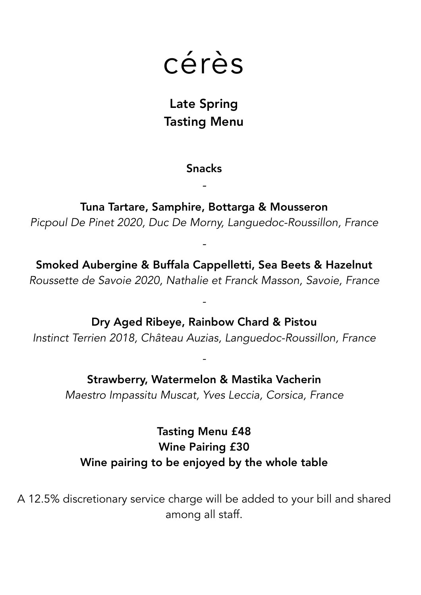

## Late Spring Tasting Menu

## Snacks

*-*

Tuna Tartare, Samphire, Bottarga & Mousseron *Picpoul De Pinet 2020, Duc De Morny, Languedoc-Roussillon, France*

Smoked Aubergine & Buffala Cappelletti, Sea Beets & Hazelnut *Roussette de Savoie 2020, Nathalie et Franck Masson, Savoie, France* 

*-* 

*-*

Dry Aged Ribeye, Rainbow Chard & Pistou *Instinct Terrien 2018, Château Auzias, Languedoc-Roussillon, France* 

Strawberry, Watermelon & Mastika Vacherin *Maestro Impassitu Muscat, Yves Leccia, Corsica, France* 

*-* 

Tasting Menu £48 Wine Pairing £30 Wine pairing to be enjoyed by the whole table

A 12.5% discretionary service charge will be added to your bill and shared among all staff.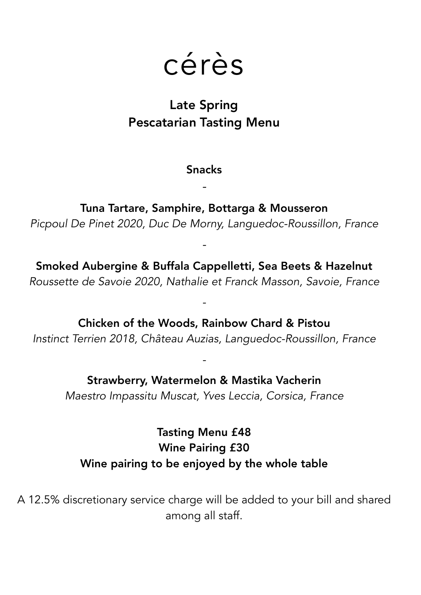

## Late Spring Pescatarian Tasting Menu

Snacks

*-*

Tuna Tartare, Samphire, Bottarga & Mousseron *Picpoul De Pinet 2020, Duc De Morny, Languedoc-Roussillon, France*

Smoked Aubergine & Buffala Cappelletti, Sea Beets & Hazelnut *Roussette de Savoie 2020, Nathalie et Franck Masson, Savoie, France* 

*-* 

*-*

Chicken of the Woods, Rainbow Chard & Pistou *Instinct Terrien 2018, Château Auzias, Languedoc-Roussillon, France* 

Strawberry, Watermelon & Mastika Vacherin *Maestro Impassitu Muscat, Yves Leccia, Corsica, France* 

*-* 

Tasting Menu £48 Wine Pairing £30 Wine pairing to be enjoyed by the whole table

A 12.5% discretionary service charge will be added to your bill and shared among all staff.